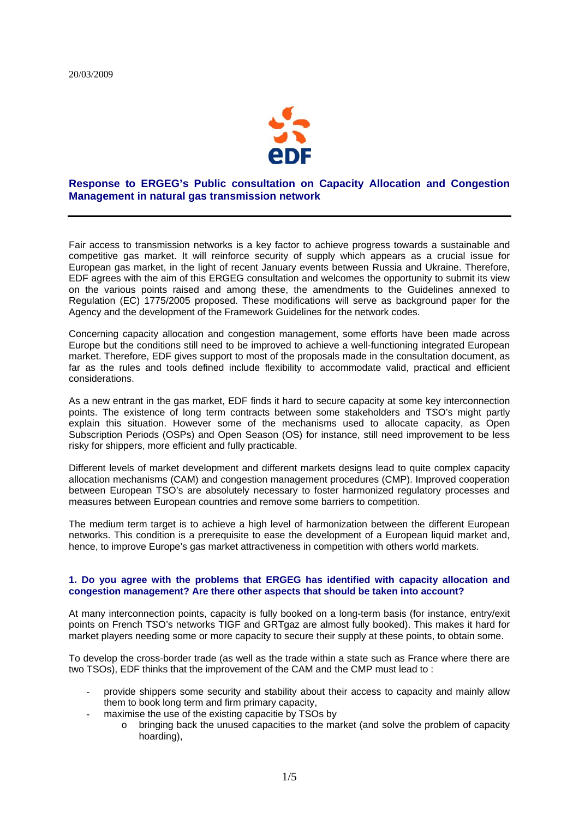

# **Response to ERGEG's Public consultation on Capacity Allocation and Congestion Management in natural gas transmission network**

Fair access to transmission networks is a key factor to achieve progress towards a sustainable and competitive gas market. It will reinforce security of supply which appears as a crucial issue for European gas market, in the light of recent January events between Russia and Ukraine. Therefore, EDF agrees with the aim of this ERGEG consultation and welcomes the opportunity to submit its view on the various points raised and among these, the amendments to the Guidelines annexed to Regulation (EC) 1775/2005 proposed. These modifications will serve as background paper for the Agency and the development of the Framework Guidelines for the network codes.

Concerning capacity allocation and congestion management, some efforts have been made across Europe but the conditions still need to be improved to achieve a well-functioning integrated European market. Therefore, EDF gives support to most of the proposals made in the consultation document, as far as the rules and tools defined include flexibility to accommodate valid, practical and efficient considerations.

As a new entrant in the gas market, EDF finds it hard to secure capacity at some key interconnection points. The existence of long term contracts between some stakeholders and TSO's might partly explain this situation. However some of the mechanisms used to allocate capacity, as Open Subscription Periods (OSPs) and Open Season (OS) for instance, still need improvement to be less risky for shippers, more efficient and fully practicable.

Different levels of market development and different markets designs lead to quite complex capacity allocation mechanisms (CAM) and congestion management procedures (CMP). Improved cooperation between European TSO's are absolutely necessary to foster harmonized regulatory processes and measures between European countries and remove some barriers to competition.

The medium term target is to achieve a high level of harmonization between the different European networks. This condition is a prerequisite to ease the development of a European liquid market and, hence, to improve Europe's gas market attractiveness in competition with others world markets.

## **1. Do you agree with the problems that ERGEG has identified with capacity allocation and congestion management? Are there other aspects that should be taken into account?**

At many interconnection points, capacity is fully booked on a long-term basis (for instance, entry/exit points on French TSO's networks TIGF and GRTgaz are almost fully booked). This makes it hard for market players needing some or more capacity to secure their supply at these points, to obtain some.

To develop the cross-border trade (as well as the trade within a state such as France where there are two TSOs), EDF thinks that the improvement of the CAM and the CMP must lead to :

- provide shippers some security and stability about their access to capacity and mainly allow them to book long term and firm primary capacity,
- maximise the use of the existing capacitie by TSOs by
	- o bringing back the unused capacities to the market (and solve the problem of capacity hoarding),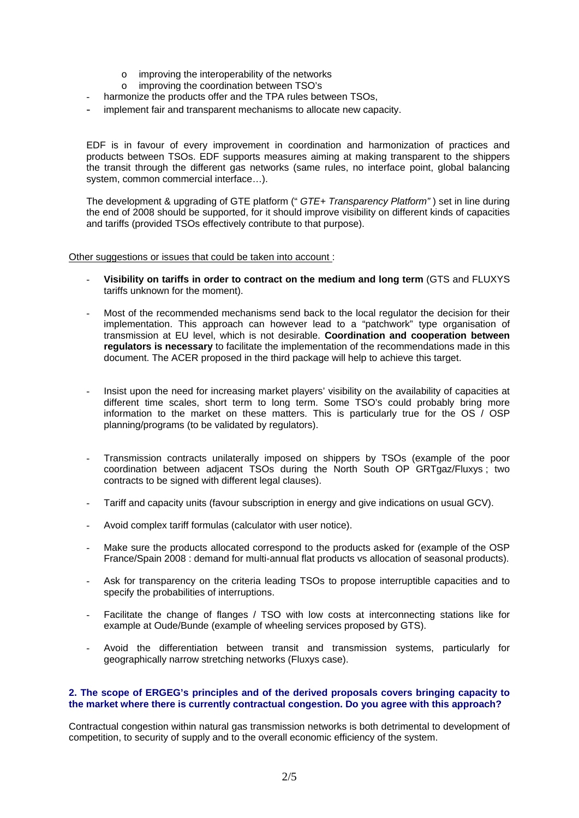- $\circ$  improving the interoperability of the networks
- o improving the coordination between TSO's
- harmonize the products offer and the TPA rules between TSOs.
- implement fair and transparent mechanisms to allocate new capacity.

EDF is in favour of every improvement in coordination and harmonization of practices and products between TSOs. EDF supports measures aiming at making transparent to the shippers the transit through the different gas networks (same rules, no interface point, global balancing system, common commercial interface…).

The development & upgrading of GTE platform (" *GTE+ Transparency Platform"* ) set in line during the end of 2008 should be supported, for it should improve visibility on different kinds of capacities and tariffs (provided TSOs effectively contribute to that purpose).

Other suggestions or issues that could be taken into account :

- **Visibility on tariffs in order to contract on the medium and long term** (GTS and FLUXYS tariffs unknown for the moment).
- Most of the recommended mechanisms send back to the local regulator the decision for their implementation. This approach can however lead to a "patchwork" type organisation of transmission at EU level, which is not desirable. **Coordination and cooperation between regulators is necessary** to facilitate the implementation of the recommendations made in this document. The ACER proposed in the third package will help to achieve this target.
- Insist upon the need for increasing market players' visibility on the availability of capacities at different time scales, short term to long term. Some TSO's could probably bring more information to the market on these matters. This is particularly true for the OS / OSP planning/programs (to be validated by regulators).
- Transmission contracts unilaterally imposed on shippers by TSOs (example of the poor coordination between adjacent TSOs during the North South OP GRTgaz/Fluxys ; two contracts to be signed with different legal clauses).
- Tariff and capacity units (favour subscription in energy and give indications on usual GCV).
- Avoid complex tariff formulas (calculator with user notice).
- Make sure the products allocated correspond to the products asked for (example of the OSP France/Spain 2008 : demand for multi-annual flat products vs allocation of seasonal products).
- Ask for transparency on the criteria leading TSOs to propose interruptible capacities and to specify the probabilities of interruptions.
- Facilitate the change of flanges / TSO with low costs at interconnecting stations like for example at Oude/Bunde (example of wheeling services proposed by GTS).
- Avoid the differentiation between transit and transmission systems, particularly for geographically narrow stretching networks (Fluxys case).

## **2. The scope of ERGEG's principles and of the derived proposals covers bringing capacity to the market where there is currently contractual congestion. Do you agree with this approach?**

Contractual congestion within natural gas transmission networks is both detrimental to development of competition, to security of supply and to the overall economic efficiency of the system.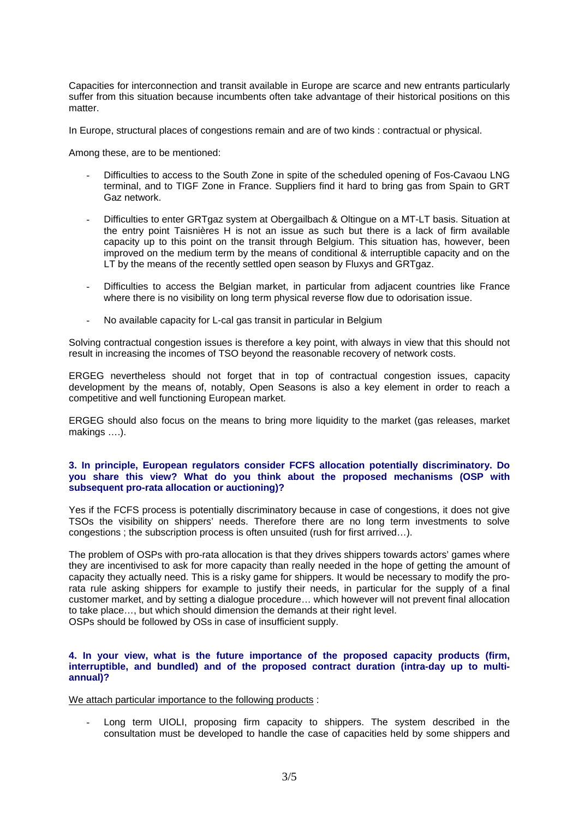Capacities for interconnection and transit available in Europe are scarce and new entrants particularly suffer from this situation because incumbents often take advantage of their historical positions on this matter

In Europe, structural places of congestions remain and are of two kinds : contractual or physical.

Among these, are to be mentioned:

- Difficulties to access to the South Zone in spite of the scheduled opening of Fos-Cavaou LNG terminal, and to TIGF Zone in France. Suppliers find it hard to bring gas from Spain to GRT Gaz network.
- Difficulties to enter GRTgaz system at Obergailbach & Oltingue on a MT-LT basis. Situation at the entry point Taisnières H is not an issue as such but there is a lack of firm available capacity up to this point on the transit through Belgium. This situation has, however, been improved on the medium term by the means of conditional & interruptible capacity and on the LT by the means of the recently settled open season by Fluxys and GRTgaz.
- Difficulties to access the Belgian market, in particular from adjacent countries like France where there is no visibility on long term physical reverse flow due to odorisation issue.
- No available capacity for L-cal gas transit in particular in Belgium

Solving contractual congestion issues is therefore a key point, with always in view that this should not result in increasing the incomes of TSO beyond the reasonable recovery of network costs.

ERGEG nevertheless should not forget that in top of contractual congestion issues, capacity development by the means of, notably, Open Seasons is also a key element in order to reach a competitive and well functioning European market.

ERGEG should also focus on the means to bring more liquidity to the market (gas releases, market makings ….).

## **3. In principle, European regulators consider FCFS allocation potentially discriminatory. Do you share this view? What do you think about the proposed mechanisms (OSP with subsequent pro-rata allocation or auctioning)?**

Yes if the FCFS process is potentially discriminatory because in case of congestions, it does not give TSOs the visibility on shippers' needs. Therefore there are no long term investments to solve congestions ; the subscription process is often unsuited (rush for first arrived…).

The problem of OSPs with pro-rata allocation is that they drives shippers towards actors' games where they are incentivised to ask for more capacity than really needed in the hope of getting the amount of capacity they actually need. This is a risky game for shippers. It would be necessary to modify the prorata rule asking shippers for example to justify their needs, in particular for the supply of a final customer market, and by setting a dialogue procedure… which however will not prevent final allocation to take place…, but which should dimension the demands at their right level. OSPs should be followed by OSs in case of insufficient supply.

## **4. In your view, what is the future importance of the proposed capacity products (firm, interruptible, and bundled) and of the proposed contract duration (intra-day up to multiannual)?**

We attach particular importance to the following products :

Long term UIOLI, proposing firm capacity to shippers. The system described in the consultation must be developed to handle the case of capacities held by some shippers and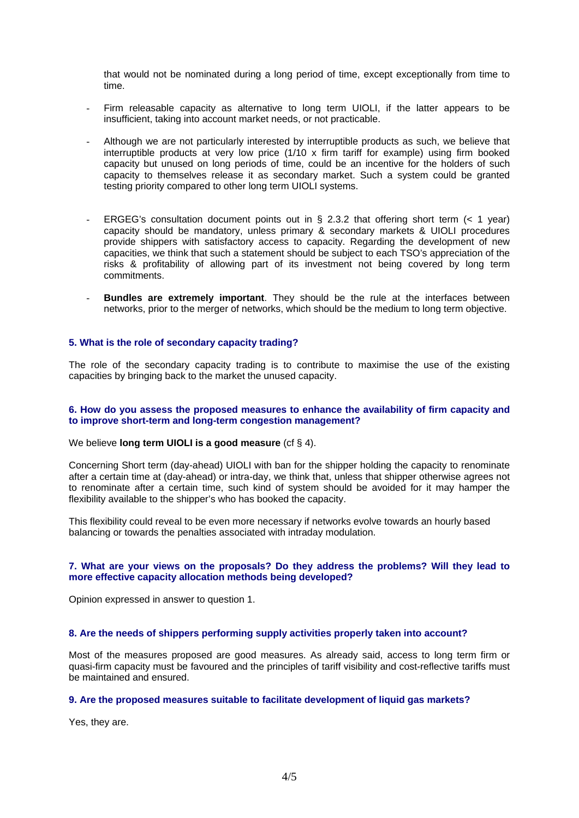that would not be nominated during a long period of time, except exceptionally from time to time.

- Firm releasable capacity as alternative to long term UIOLI, if the latter appears to be insufficient, taking into account market needs, or not practicable.
- Although we are not particularly interested by interruptible products as such, we believe that interruptible products at very low price (1/10 x firm tariff for example) using firm booked capacity but unused on long periods of time, could be an incentive for the holders of such capacity to themselves release it as secondary market. Such a system could be granted testing priority compared to other long term UIOLI systems.
- ERGEG's consultation document points out in § 2.3.2 that offering short term  $(< 1$  year) capacity should be mandatory, unless primary & secondary markets & UIOLI procedures provide shippers with satisfactory access to capacity. Regarding the development of new capacities, we think that such a statement should be subject to each TSO's appreciation of the risks & profitability of allowing part of its investment not being covered by long term commitments.
- **Bundles are extremely important**. They should be the rule at the interfaces between networks, prior to the merger of networks, which should be the medium to long term objective.

#### **5. What is the role of secondary capacity trading?**

The role of the secondary capacity trading is to contribute to maximise the use of the existing capacities by bringing back to the market the unused capacity.

#### **6. How do you assess the proposed measures to enhance the availability of firm capacity and to improve short-term and long-term congestion management?**

## We believe **long term UIOLI is a good measure** (cf § 4).

Concerning Short term (day-ahead) UIOLI with ban for the shipper holding the capacity to renominate after a certain time at (day-ahead) or intra-day, we think that, unless that shipper otherwise agrees not to renominate after a certain time, such kind of system should be avoided for it may hamper the flexibility available to the shipper's who has booked the capacity.

This flexibility could reveal to be even more necessary if networks evolve towards an hourly based balancing or towards the penalties associated with intraday modulation.

#### **7. What are your views on the proposals? Do they address the problems? Will they lead to more effective capacity allocation methods being developed?**

Opinion expressed in answer to question 1.

## **8. Are the needs of shippers performing supply activities properly taken into account?**

Most of the measures proposed are good measures. As already said, access to long term firm or quasi-firm capacity must be favoured and the principles of tariff visibility and cost-reflective tariffs must be maintained and ensured.

#### **9. Are the proposed measures suitable to facilitate development of liquid gas markets?**

Yes, they are.